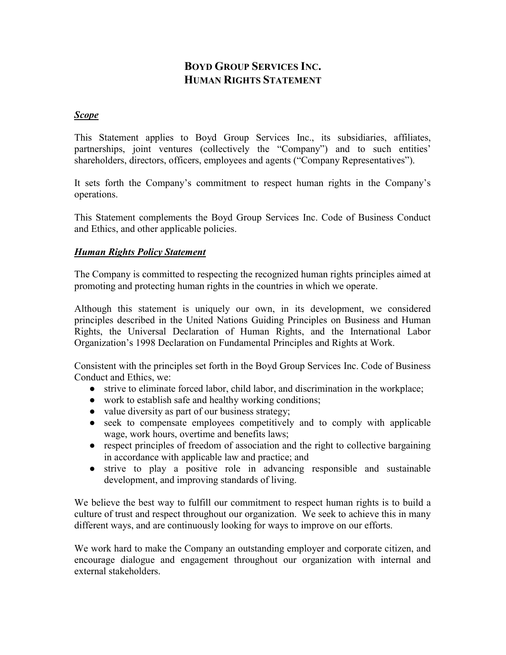# BOYD GROUP SERVICES INC. HUMAN RIGHTS STATEMENT

#### Scope

This Statement applies to Boyd Group Services Inc., its subsidiaries, affiliates, partnerships, joint ventures (collectively the "Company") and to such entities' shareholders, directors, officers, employees and agents ("Company Representatives").

It sets forth the Company's commitment to respect human rights in the Company's operations.

This Statement complements the Boyd Group Services Inc. Code of Business Conduct and Ethics, and other applicable policies.

#### Human Rights Policy Statement

The Company is committed to respecting the recognized human rights principles aimed at promoting and protecting human rights in the countries in which we operate.

Although this statement is uniquely our own, in its development, we considered principles described in the United Nations Guiding Principles on Business and Human Rights, the Universal Declaration of Human Rights, and the International Labor Organization's 1998 Declaration on Fundamental Principles and Rights at Work.

Consistent with the principles set forth in the Boyd Group Services Inc. Code of Business Conduct and Ethics, we:

- strive to eliminate forced labor, child labor, and discrimination in the workplace;
- work to establish safe and healthy working conditions;
- value diversity as part of our business strategy;
- seek to compensate employees competitively and to comply with applicable wage, work hours, overtime and benefits laws;
- respect principles of freedom of association and the right to collective bargaining in accordance with applicable law and practice; and
- strive to play a positive role in advancing responsible and sustainable development, and improving standards of living.

We believe the best way to fulfill our commitment to respect human rights is to build a culture of trust and respect throughout our organization. We seek to achieve this in many different ways, and are continuously looking for ways to improve on our efforts.

We work hard to make the Company an outstanding employer and corporate citizen, and encourage dialogue and engagement throughout our organization with internal and external stakeholders.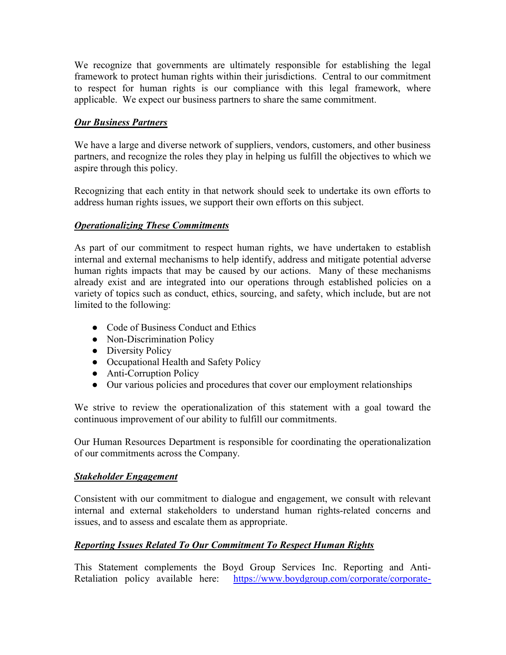We recognize that governments are ultimately responsible for establishing the legal framework to protect human rights within their jurisdictions. Central to our commitment to respect for human rights is our compliance with this legal framework, where applicable. We expect our business partners to share the same commitment.

#### **Our Business Partners**

We have a large and diverse network of suppliers, vendors, customers, and other business partners, and recognize the roles they play in helping us fulfill the objectives to which we aspire through this policy.

Recognizing that each entity in that network should seek to undertake its own efforts to address human rights issues, we support their own efforts on this subject.

## Operationalizing These Commitments

As part of our commitment to respect human rights, we have undertaken to establish internal and external mechanisms to help identify, address and mitigate potential adverse human rights impacts that may be caused by our actions. Many of these mechanisms already exist and are integrated into our operations through established policies on a variety of topics such as conduct, ethics, sourcing, and safety, which include, but are not limited to the following:

- Code of Business Conduct and Ethics
- Non-Discrimination Policy
- Diversity Policy
- Occupational Health and Safety Policy
- Anti-Corruption Policy
- Our various policies and procedures that cover our employment relationships

We strive to review the operationalization of this statement with a goal toward the continuous improvement of our ability to fulfill our commitments.

Our Human Resources Department is responsible for coordinating the operationalization of our commitments across the Company.

#### Stakeholder Engagement

Consistent with our commitment to dialogue and engagement, we consult with relevant internal and external stakeholders to understand human rights-related concerns and issues, and to assess and escalate them as appropriate.

## Reporting Issues Related To Our Commitment To Respect Human Rights

This Statement complements the Boyd Group Services Inc. Reporting and Anti-Retaliation policy available here: https://www.boydgroup.com/corporate/corporate